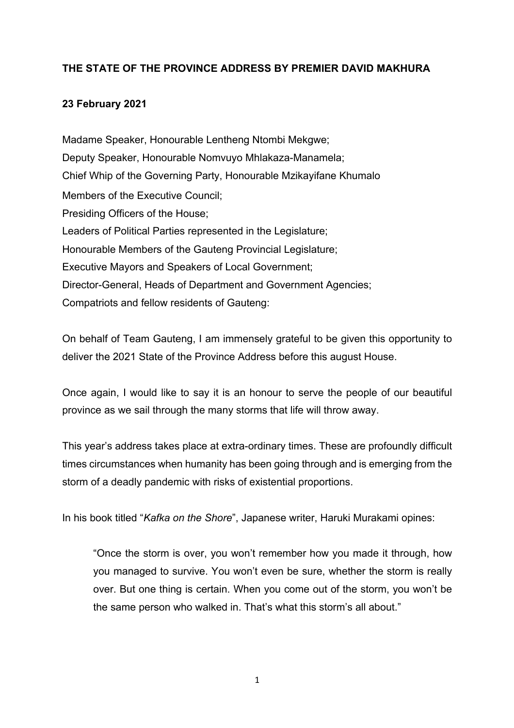## **THE STATE OF THE PROVINCE ADDRESS BY PREMIER DAVID MAKHURA**

## **23 February 2021**

Madame Speaker, Honourable Lentheng Ntombi Mekgwe; Deputy Speaker, Honourable Nomvuyo Mhlakaza-Manamela; Chief Whip of the Governing Party, Honourable Mzikayifane Khumalo Members of the Executive Council; Presiding Officers of the House; Leaders of Political Parties represented in the Legislature; Honourable Members of the Gauteng Provincial Legislature; Executive Mayors and Speakers of Local Government; Director-General, Heads of Department and Government Agencies; Compatriots and fellow residents of Gauteng:

On behalf of Team Gauteng, I am immensely grateful to be given this opportunity to deliver the 2021 State of the Province Address before this august House.

Once again, I would like to say it is an honour to serve the people of our beautiful province as we sail through the many storms that life will throw away.

This year's address takes place at extra-ordinary times. These are profoundly difficult times circumstances when humanity has been going through and is emerging from the storm of a deadly pandemic with risks of existential proportions.

In his book titled "*Kafka on the Shore*", Japanese writer, Haruki Murakami opines:

"Once the storm is over, you won't remember how you made it through, how you managed to survive. You won't even be sure, whether the storm is really over. But one thing is certain. When you come out of the storm, you won't be the same person who walked in. That's what this storm's all about."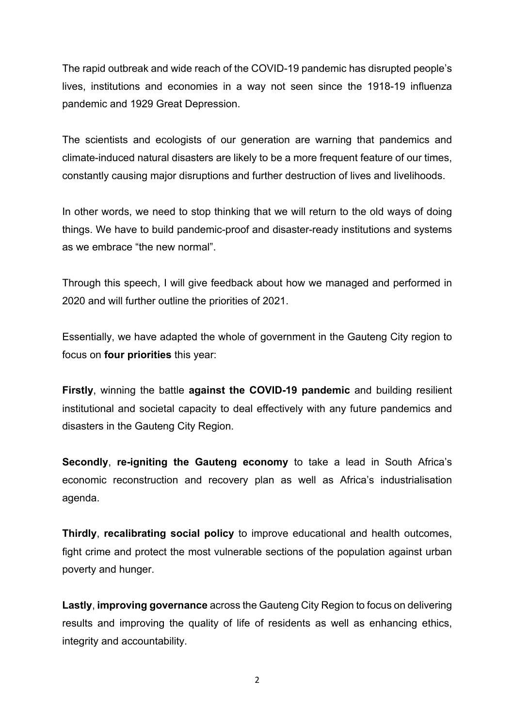The rapid outbreak and wide reach of the COVID-19 pandemic has disrupted people's lives, institutions and economies in a way not seen since the 1918-19 influenza pandemic and 1929 Great Depression.

The scientists and ecologists of our generation are warning that pandemics and climate-induced natural disasters are likely to be a more frequent feature of our times, constantly causing major disruptions and further destruction of lives and livelihoods.

In other words, we need to stop thinking that we will return to the old ways of doing things. We have to build pandemic-proof and disaster-ready institutions and systems as we embrace "the new normal".

Through this speech, I will give feedback about how we managed and performed in 2020 and will further outline the priorities of 2021.

Essentially, we have adapted the whole of government in the Gauteng City region to focus on **four priorities** this year:

**Firstly**, winning the battle **against the COVID-19 pandemic** and building resilient institutional and societal capacity to deal effectively with any future pandemics and disasters in the Gauteng City Region.

**Secondly**, **re-igniting the Gauteng economy** to take a lead in South Africa's economic reconstruction and recovery plan as well as Africa's industrialisation agenda.

**Thirdly**, **recalibrating social policy** to improve educational and health outcomes, fight crime and protect the most vulnerable sections of the population against urban poverty and hunger.

**Lastly**, **improving governance** across the Gauteng City Region to focus on delivering results and improving the quality of life of residents as well as enhancing ethics, integrity and accountability.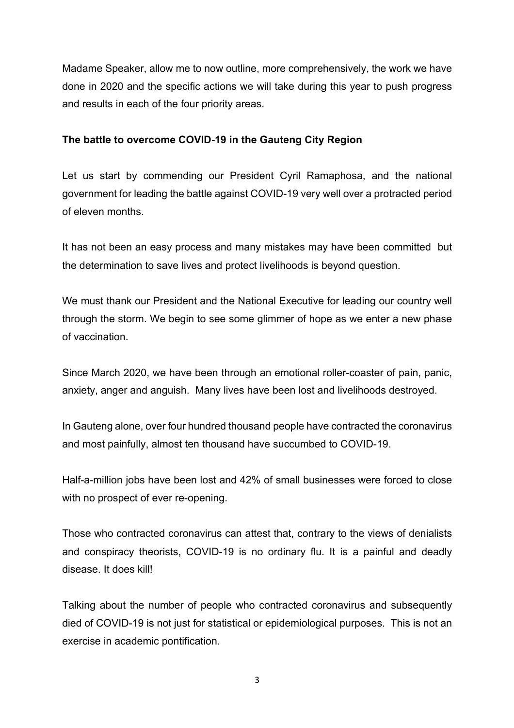Madame Speaker, allow me to now outline, more comprehensively, the work we have done in 2020 and the specific actions we will take during this year to push progress and results in each of the four priority areas.

#### **The battle to overcome COVID-19 in the Gauteng City Region**

Let us start by commending our President Cyril Ramaphosa, and the national government for leading the battle against COVID-19 very well over a protracted period of eleven months.

It has not been an easy process and many mistakes may have been committed but the determination to save lives and protect livelihoods is beyond question.

We must thank our President and the National Executive for leading our country well through the storm. We begin to see some glimmer of hope as we enter a new phase of vaccination.

Since March 2020, we have been through an emotional roller-coaster of pain, panic, anxiety, anger and anguish. Many lives have been lost and livelihoods destroyed.

In Gauteng alone, over four hundred thousand people have contracted the coronavirus and most painfully, almost ten thousand have succumbed to COVID-19.

Half-a-million jobs have been lost and 42% of small businesses were forced to close with no prospect of ever re-opening.

Those who contracted coronavirus can attest that, contrary to the views of denialists and conspiracy theorists, COVID-19 is no ordinary flu. It is a painful and deadly disease. It does kill!

Talking about the number of people who contracted coronavirus and subsequently died of COVID-19 is not just for statistical or epidemiological purposes. This is not an exercise in academic pontification.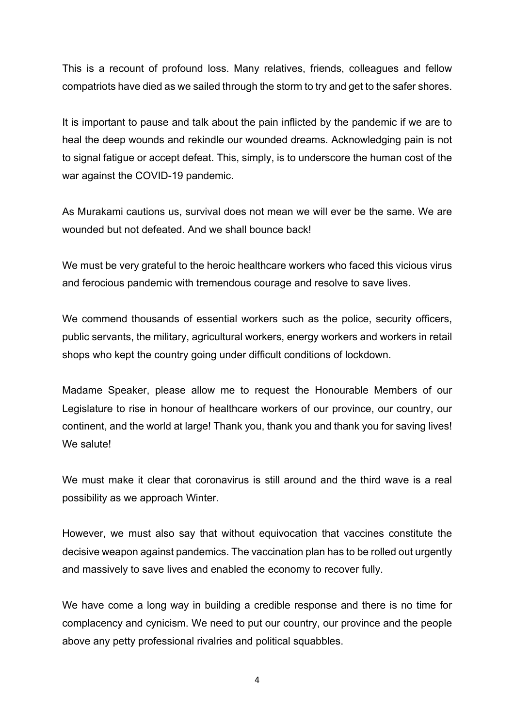This is a recount of profound loss. Many relatives, friends, colleagues and fellow compatriots have died as we sailed through the storm to try and get to the safer shores.

It is important to pause and talk about the pain inflicted by the pandemic if we are to heal the deep wounds and rekindle our wounded dreams. Acknowledging pain is not to signal fatigue or accept defeat. This, simply, is to underscore the human cost of the war against the COVID-19 pandemic.

As Murakami cautions us, survival does not mean we will ever be the same. We are wounded but not defeated. And we shall bounce back!

We must be very grateful to the heroic healthcare workers who faced this vicious virus and ferocious pandemic with tremendous courage and resolve to save lives.

We commend thousands of essential workers such as the police, security officers, public servants, the military, agricultural workers, energy workers and workers in retail shops who kept the country going under difficult conditions of lockdown.

Madame Speaker, please allow me to request the Honourable Members of our Legislature to rise in honour of healthcare workers of our province, our country, our continent, and the world at large! Thank you, thank you and thank you for saving lives! We salute!

We must make it clear that coronavirus is still around and the third wave is a real possibility as we approach Winter.

However, we must also say that without equivocation that vaccines constitute the decisive weapon against pandemics. The vaccination plan has to be rolled out urgently and massively to save lives and enabled the economy to recover fully.

We have come a long way in building a credible response and there is no time for complacency and cynicism. We need to put our country, our province and the people above any petty professional rivalries and political squabbles.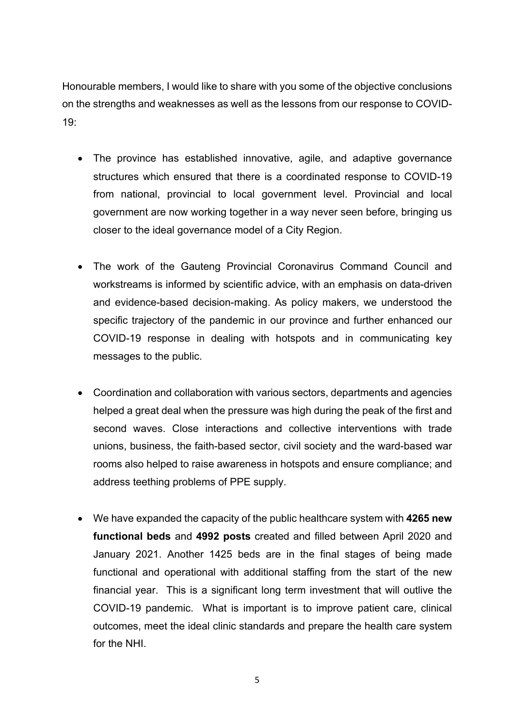Honourable members, I would like to share with you some of the objective conclusions on the strengths and weaknesses as well as the lessons from our response to COVID-19:

- The province has established innovative, agile, and adaptive governance structures which ensured that there is a coordinated response to COVID-19 from national, provincial to local government level. Provincial and local government are now working together in a way never seen before, bringing us closer to the ideal governance model of a City Region.
- The work of the Gauteng Provincial Coronavirus Command Council and workstreams is informed by scientific advice, with an emphasis on data-driven and evidence-based decision-making. As policy makers, we understood the specific trajectory of the pandemic in our province and further enhanced our COVID-19 response in dealing with hotspots and in communicating key messages to the public.
- Coordination and collaboration with various sectors, departments and agencies helped a great deal when the pressure was high during the peak of the first and second waves. Close interactions and collective interventions with trade unions, business, the faith-based sector, civil society and the ward-based war rooms also helped to raise awareness in hotspots and ensure compliance; and address teething problems of PPE supply.
- We have expanded the capacity of the public healthcare system with **4265 new functional beds** and **4992 posts** created and filled between April 2020 and January 2021. Another 1425 beds are in the final stages of being made functional and operational with additional staffing from the start of the new financial year. This is a significant long term investment that will outlive the COVID-19 pandemic. What is important is to improve patient care, clinical outcomes, meet the ideal clinic standards and prepare the health care system for the NHI.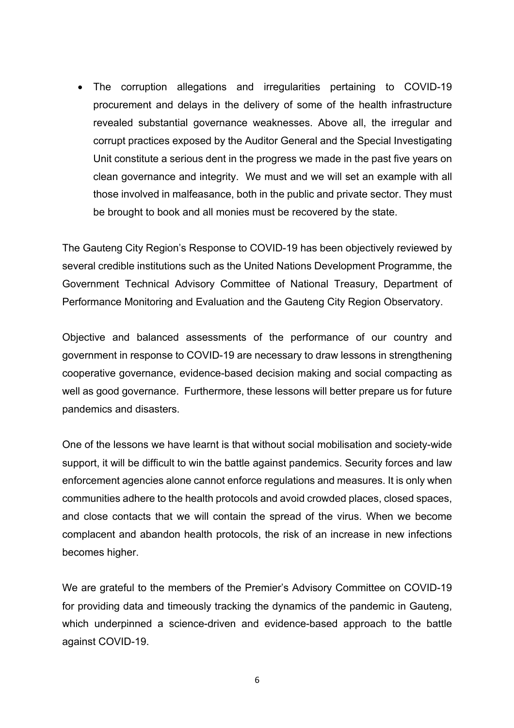• The corruption allegations and irregularities pertaining to COVID-19 procurement and delays in the delivery of some of the health infrastructure revealed substantial governance weaknesses. Above all, the irregular and corrupt practices exposed by the Auditor General and the Special Investigating Unit constitute a serious dent in the progress we made in the past five years on clean governance and integrity. We must and we will set an example with all those involved in malfeasance, both in the public and private sector. They must be brought to book and all monies must be recovered by the state.

The Gauteng City Region's Response to COVID-19 has been objectively reviewed by several credible institutions such as the United Nations Development Programme, the Government Technical Advisory Committee of National Treasury, Department of Performance Monitoring and Evaluation and the Gauteng City Region Observatory.

Objective and balanced assessments of the performance of our country and government in response to COVID-19 are necessary to draw lessons in strengthening cooperative governance, evidence-based decision making and social compacting as well as good governance. Furthermore, these lessons will better prepare us for future pandemics and disasters.

One of the lessons we have learnt is that without social mobilisation and society-wide support, it will be difficult to win the battle against pandemics. Security forces and law enforcement agencies alone cannot enforce regulations and measures. It is only when communities adhere to the health protocols and avoid crowded places, closed spaces, and close contacts that we will contain the spread of the virus. When we become complacent and abandon health protocols, the risk of an increase in new infections becomes higher.

We are grateful to the members of the Premier's Advisory Committee on COVID-19 for providing data and timeously tracking the dynamics of the pandemic in Gauteng, which underpinned a science-driven and evidence-based approach to the battle against COVID-19.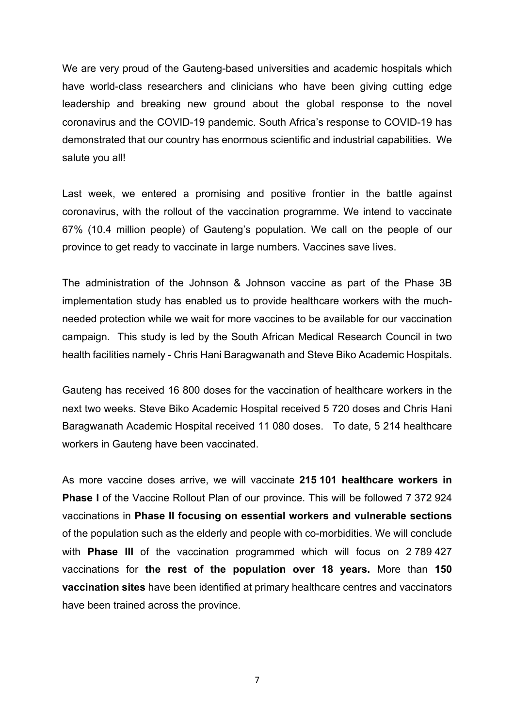We are very proud of the Gauteng-based universities and academic hospitals which have world-class researchers and clinicians who have been giving cutting edge leadership and breaking new ground about the global response to the novel coronavirus and the COVID-19 pandemic. South Africa's response to COVID-19 has demonstrated that our country has enormous scientific and industrial capabilities. We salute you all!

Last week, we entered a promising and positive frontier in the battle against coronavirus, with the rollout of the vaccination programme. We intend to vaccinate 67% (10.4 million people) of Gauteng's population. We call on the people of our province to get ready to vaccinate in large numbers. Vaccines save lives.

The administration of the Johnson & Johnson vaccine as part of the Phase 3B implementation study has enabled us to provide healthcare workers with the muchneeded protection while we wait for more vaccines to be available for our vaccination campaign. This study is led by the South African Medical Research Council in two health facilities namely - Chris Hani Baragwanath and Steve Biko Academic Hospitals.

Gauteng has received 16 800 doses for the vaccination of healthcare workers in the next two weeks. Steve Biko Academic Hospital received 5 720 doses and Chris Hani Baragwanath Academic Hospital received 11 080 doses. To date, 5 214 healthcare workers in Gauteng have been vaccinated.

As more vaccine doses arrive, we will vaccinate **215 101 healthcare workers in Phase I** of the Vaccine Rollout Plan of our province. This will be followed 7 372 924 vaccinations in **Phase II focusing on essential workers and vulnerable sections**  of the population such as the elderly and people with co-morbidities. We will conclude with **Phase III** of the vaccination programmed which will focus on 2 789 427 vaccinations for **the rest of the population over 18 years.** More than **150 vaccination sites** have been identified at primary healthcare centres and vaccinators have been trained across the province.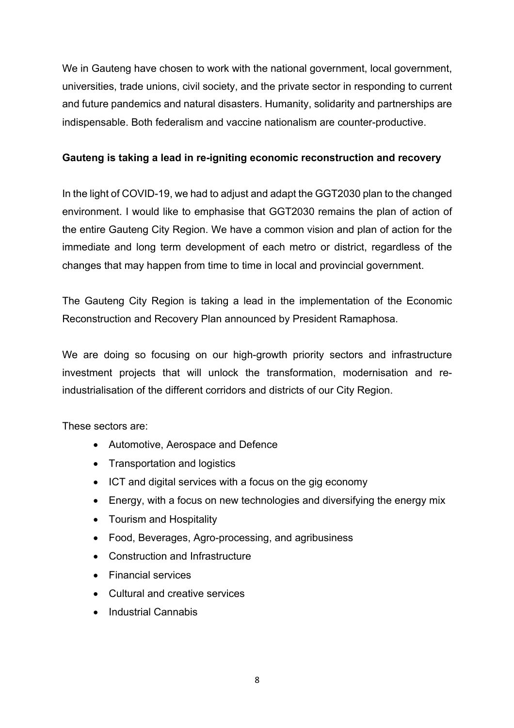We in Gauteng have chosen to work with the national government, local government, universities, trade unions, civil society, and the private sector in responding to current and future pandemics and natural disasters. Humanity, solidarity and partnerships are indispensable. Both federalism and vaccine nationalism are counter-productive.

### **Gauteng is taking a lead in re-igniting economic reconstruction and recovery**

In the light of COVID-19, we had to adjust and adapt the GGT2030 plan to the changed environment. I would like to emphasise that GGT2030 remains the plan of action of the entire Gauteng City Region. We have a common vision and plan of action for the immediate and long term development of each metro or district, regardless of the changes that may happen from time to time in local and provincial government.

The Gauteng City Region is taking a lead in the implementation of the Economic Reconstruction and Recovery Plan announced by President Ramaphosa.

We are doing so focusing on our high-growth priority sectors and infrastructure investment projects that will unlock the transformation, modernisation and reindustrialisation of the different corridors and districts of our City Region.

These sectors are:

- Automotive, Aerospace and Defence
- Transportation and logistics
- ICT and digital services with a focus on the gig economy
- Energy, with a focus on new technologies and diversifying the energy mix
- Tourism and Hospitality
- Food, Beverages, Agro-processing, and agribusiness
- Construction and Infrastructure
- Financial services
- Cultural and creative services
- Industrial Cannabis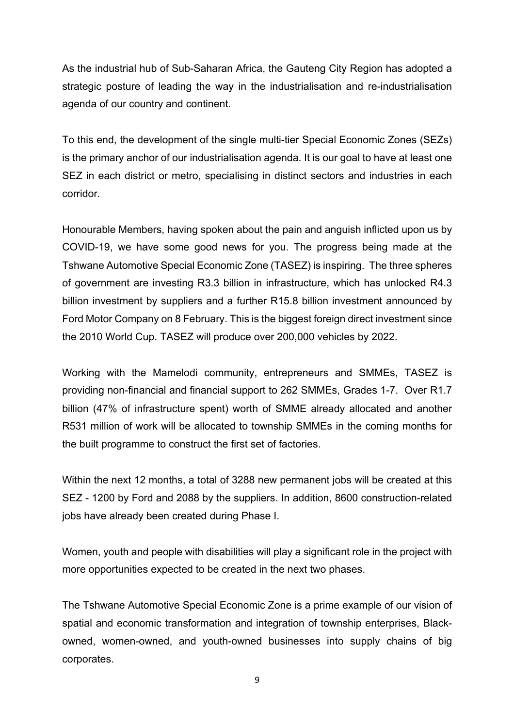As the industrial hub of Sub-Saharan Africa, the Gauteng City Region has adopted a strategic posture of leading the way in the industrialisation and re-industrialisation agenda of our country and continent.

To this end, the development of the single multi-tier Special Economic Zones (SEZs) is the primary anchor of our industrialisation agenda. It is our goal to have at least one SEZ in each district or metro, specialising in distinct sectors and industries in each corridor.

Honourable Members, having spoken about the pain and anguish inflicted upon us by COVID-19, we have some good news for you. The progress being made at the Tshwane Automotive Special Economic Zone (TASEZ) is inspiring. The three spheres of government are investing R3.3 billion in infrastructure, which has unlocked R4.3 billion investment by suppliers and a further R15.8 billion investment announced by Ford Motor Company on 8 February. This is the biggest foreign direct investment since the 2010 World Cup. TASEZ will produce over 200,000 vehicles by 2022.

Working with the Mamelodi community, entrepreneurs and SMMEs, TASEZ is providing non-financial and financial support to 262 SMMEs, Grades 1-7. Over R1.7 billion (47% of infrastructure spent) worth of SMME already allocated and another R531 million of work will be allocated to township SMMEs in the coming months for the built programme to construct the first set of factories.

Within the next 12 months, a total of 3288 new permanent jobs will be created at this SEZ - 1200 by Ford and 2088 by the suppliers. In addition, 8600 construction-related jobs have already been created during Phase I.

Women, youth and people with disabilities will play a significant role in the project with more opportunities expected to be created in the next two phases.

The Tshwane Automotive Special Economic Zone is a prime example of our vision of spatial and economic transformation and integration of township enterprises, Blackowned, women-owned, and youth-owned businesses into supply chains of big corporates.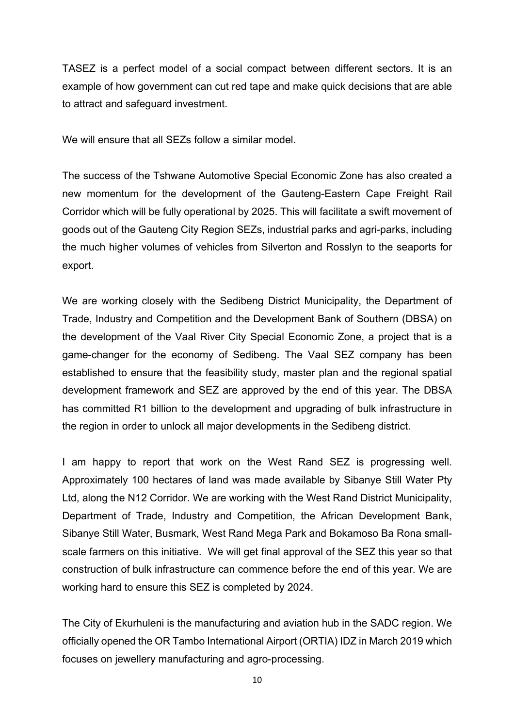TASEZ is a perfect model of a social compact between different sectors. It is an example of how government can cut red tape and make quick decisions that are able to attract and safeguard investment.

We will ensure that all SEZs follow a similar model.

The success of the Tshwane Automotive Special Economic Zone has also created a new momentum for the development of the Gauteng-Eastern Cape Freight Rail Corridor which will be fully operational by 2025. This will facilitate a swift movement of goods out of the Gauteng City Region SEZs, industrial parks and agri-parks, including the much higher volumes of vehicles from Silverton and Rosslyn to the seaports for export.

We are working closely with the Sedibeng District Municipality, the Department of Trade, Industry and Competition and the Development Bank of Southern (DBSA) on the development of the Vaal River City Special Economic Zone, a project that is a game-changer for the economy of Sedibeng. The Vaal SEZ company has been established to ensure that the feasibility study, master plan and the regional spatial development framework and SEZ are approved by the end of this year. The DBSA has committed R1 billion to the development and upgrading of bulk infrastructure in the region in order to unlock all major developments in the Sedibeng district.

I am happy to report that work on the West Rand SEZ is progressing well. Approximately 100 hectares of land was made available by Sibanye Still Water Pty Ltd, along the N12 Corridor. We are working with the West Rand District Municipality, Department of Trade, Industry and Competition, the African Development Bank, Sibanye Still Water, Busmark, West Rand Mega Park and Bokamoso Ba Rona smallscale farmers on this initiative. We will get final approval of the SEZ this year so that construction of bulk infrastructure can commence before the end of this year. We are working hard to ensure this SEZ is completed by 2024.

The City of Ekurhuleni is the manufacturing and aviation hub in the SADC region. We officially opened the OR Tambo International Airport (ORTIA) IDZ in March 2019 which focuses on jewellery manufacturing and agro-processing.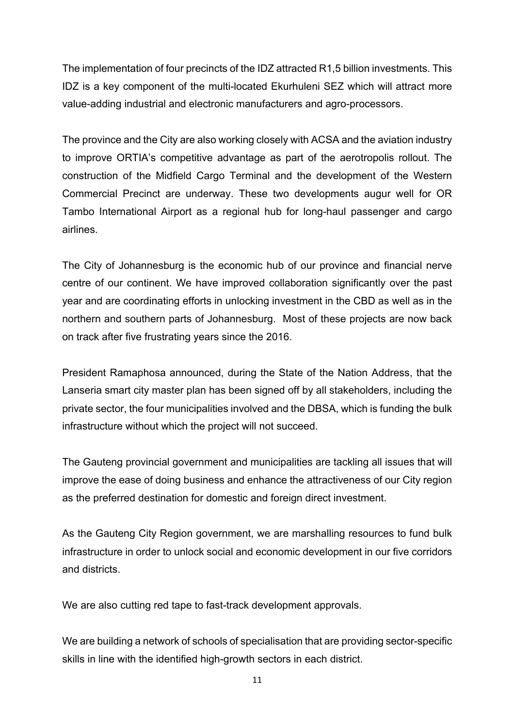The implementation of four precincts of the IDZ attracted R1,5 billion investments. This IDZ is a key component of the multi-located Ekurhuleni SEZ which will attract more value-adding industrial and electronic manufacturers and agro-processors.

The province and the City are also working closely with ACSA and the aviation industry to improve ORTIA's competitive advantage as part of the aerotropolis rollout. The construction of the Midfield Cargo Terminal and the development of the Western Commercial Precinct are underway. These two developments augur well for OR Tambo International Airport as a regional hub for long-haul passenger and cargo airlines.

The City of Johannesburg is the economic hub of our province and financial nerve centre of our continent. We have improved collaboration significantly over the past year and are coordinating efforts in unlocking investment in the CBD as well as in the northern and southern parts of Johannesburg. Most of these projects are now back on track after five frustrating years since the 2016.

President Ramaphosa announced, during the State of the Nation Address, that the Lanseria smart city master plan has been signed off by all stakeholders, including the private sector, the four municipalities involved and the DBSA, which is funding the bulk infrastructure without which the project will not succeed.

The Gauteng provincial government and municipalities are tackling all issues that will improve the ease of doing business and enhance the attractiveness of our City region as the preferred destination for domestic and foreign direct investment.

As the Gauteng City Region government, we are marshalling resources to fund bulk infrastructure in order to unlock social and economic development in our five corridors and districts.

We are also cutting red tape to fast-track development approvals.

We are building a network of schools of specialisation that are providing sector-specific skills in line with the identified high-growth sectors in each district.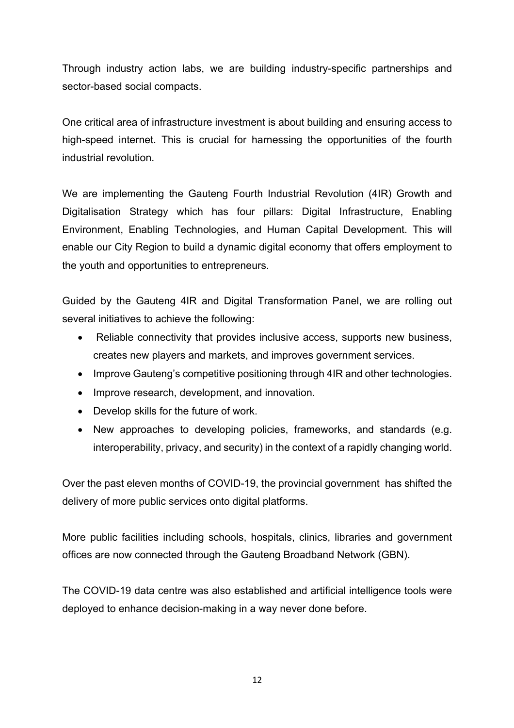Through industry action labs, we are building industry-specific partnerships and sector-based social compacts.

One critical area of infrastructure investment is about building and ensuring access to high-speed internet. This is crucial for harnessing the opportunities of the fourth industrial revolution.

We are implementing the Gauteng Fourth Industrial Revolution (4IR) Growth and Digitalisation Strategy which has four pillars: Digital Infrastructure, Enabling Environment, Enabling Technologies, and Human Capital Development. This will enable our City Region to build a dynamic digital economy that offers employment to the youth and opportunities to entrepreneurs.

Guided by the Gauteng 4IR and Digital Transformation Panel, we are rolling out several initiatives to achieve the following:

- Reliable connectivity that provides inclusive access, supports new business, creates new players and markets, and improves government services.
- Improve Gauteng's competitive positioning through 4IR and other technologies.
- Improve research, development, and innovation.
- Develop skills for the future of work.
- New approaches to developing policies, frameworks, and standards (e.g. interoperability, privacy, and security) in the context of a rapidly changing world.

Over the past eleven months of COVID-19, the provincial government has shifted the delivery of more public services onto digital platforms.

More public facilities including schools, hospitals, clinics, libraries and government offices are now connected through the Gauteng Broadband Network (GBN).

The COVID-19 data centre was also established and artificial intelligence tools were deployed to enhance decision-making in a way never done before.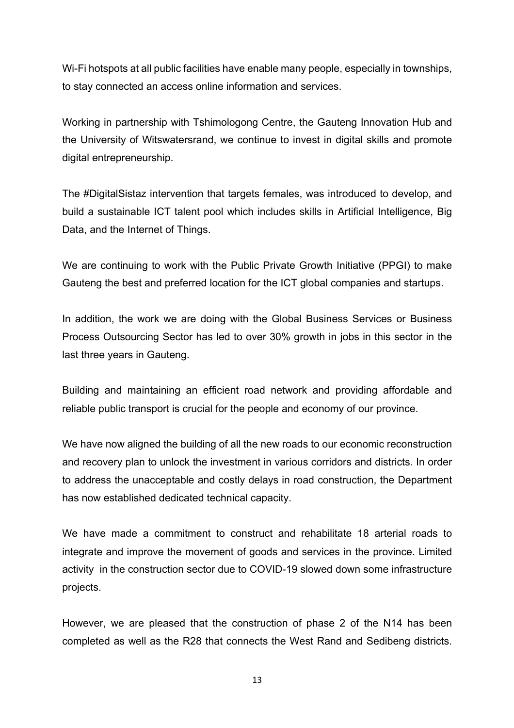Wi-Fi hotspots at all public facilities have enable many people, especially in townships, to stay connected an access online information and services.

Working in partnership with Tshimologong Centre, the Gauteng Innovation Hub and the University of Witswatersrand, we continue to invest in digital skills and promote digital entrepreneurship.

The #DigitalSistaz intervention that targets females, was introduced to develop, and build a sustainable ICT talent pool which includes skills in Artificial Intelligence, Big Data, and the Internet of Things.

We are continuing to work with the Public Private Growth Initiative (PPGI) to make Gauteng the best and preferred location for the ICT global companies and startups.

In addition, the work we are doing with the Global Business Services or Business Process Outsourcing Sector has led to over 30% growth in jobs in this sector in the last three years in Gauteng.

Building and maintaining an efficient road network and providing affordable and reliable public transport is crucial for the people and economy of our province.

We have now aligned the building of all the new roads to our economic reconstruction and recovery plan to unlock the investment in various corridors and districts. In order to address the unacceptable and costly delays in road construction, the Department has now established dedicated technical capacity.

We have made a commitment to construct and rehabilitate 18 arterial roads to integrate and improve the movement of goods and services in the province. Limited activity in the construction sector due to COVID-19 slowed down some infrastructure projects.

However, we are pleased that the construction of phase 2 of the N14 has been completed as well as the R28 that connects the West Rand and Sedibeng districts.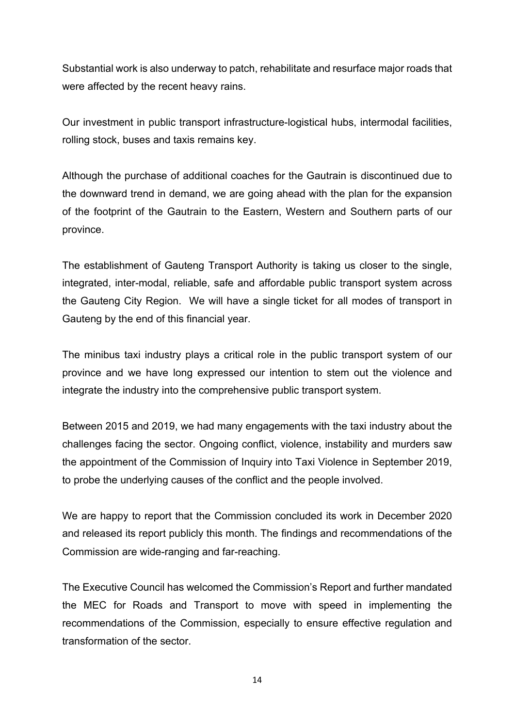Substantial work is also underway to patch, rehabilitate and resurface major roads that were affected by the recent heavy rains.

Our investment in public transport infrastructure-logistical hubs, intermodal facilities, rolling stock, buses and taxis remains key.

Although the purchase of additional coaches for the Gautrain is discontinued due to the downward trend in demand, we are going ahead with the plan for the expansion of the footprint of the Gautrain to the Eastern, Western and Southern parts of our province.

The establishment of Gauteng Transport Authority is taking us closer to the single, integrated, inter-modal, reliable, safe and affordable public transport system across the Gauteng City Region. We will have a single ticket for all modes of transport in Gauteng by the end of this financial year.

The minibus taxi industry plays a critical role in the public transport system of our province and we have long expressed our intention to stem out the violence and integrate the industry into the comprehensive public transport system.

Between 2015 and 2019, we had many engagements with the taxi industry about the challenges facing the sector. Ongoing conflict, violence, instability and murders saw the appointment of the Commission of Inquiry into Taxi Violence in September 2019, to probe the underlying causes of the conflict and the people involved.

We are happy to report that the Commission concluded its work in December 2020 and released its report publicly this month. The findings and recommendations of the Commission are wide-ranging and far-reaching.

The Executive Council has welcomed the Commission's Report and further mandated the MEC for Roads and Transport to move with speed in implementing the recommendations of the Commission, especially to ensure effective regulation and transformation of the sector.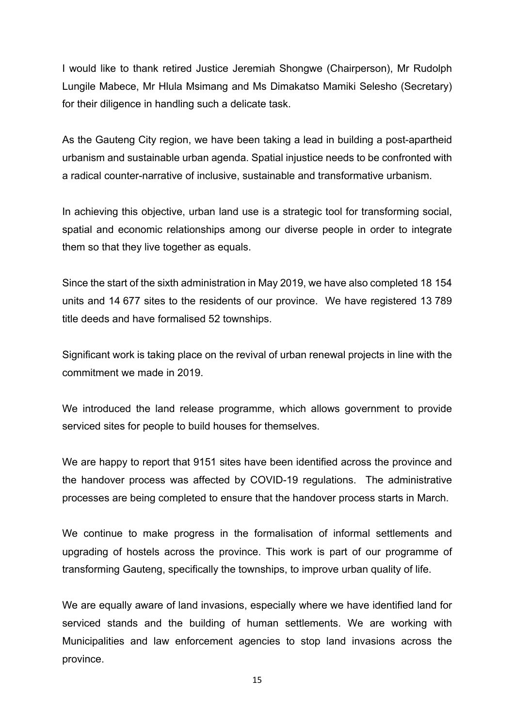I would like to thank retired Justice Jeremiah Shongwe (Chairperson), Mr Rudolph Lungile Mabece, Mr Hlula Msimang and Ms Dimakatso Mamiki Selesho (Secretary) for their diligence in handling such a delicate task.

As the Gauteng City region, we have been taking a lead in building a post-apartheid urbanism and sustainable urban agenda. Spatial injustice needs to be confronted with a radical counter-narrative of inclusive, sustainable and transformative urbanism.

In achieving this objective, urban land use is a strategic tool for transforming social, spatial and economic relationships among our diverse people in order to integrate them so that they live together as equals.

Since the start of the sixth administration in May 2019, we have also completed 18 154 units and 14 677 sites to the residents of our province. We have registered 13 789 title deeds and have formalised 52 townships.

Significant work is taking place on the revival of urban renewal projects in line with the commitment we made in 2019.

We introduced the land release programme, which allows government to provide serviced sites for people to build houses for themselves.

We are happy to report that 9151 sites have been identified across the province and the handover process was affected by COVID-19 regulations. The administrative processes are being completed to ensure that the handover process starts in March.

We continue to make progress in the formalisation of informal settlements and upgrading of hostels across the province. This work is part of our programme of transforming Gauteng, specifically the townships, to improve urban quality of life.

We are equally aware of land invasions, especially where we have identified land for serviced stands and the building of human settlements. We are working with Municipalities and law enforcement agencies to stop land invasions across the province.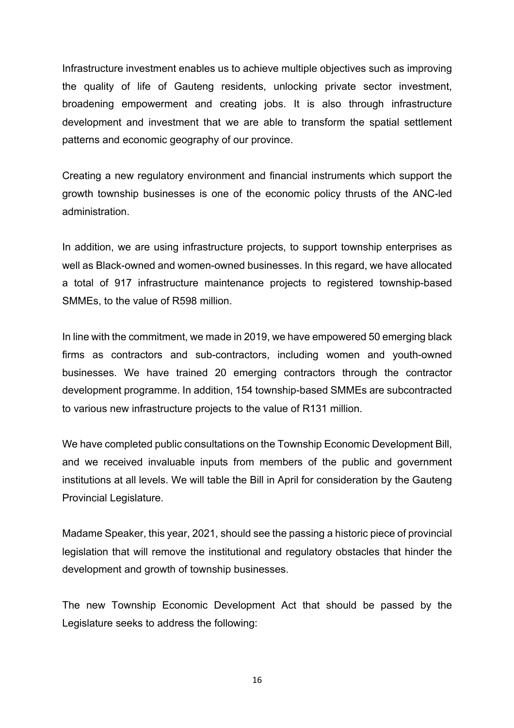Infrastructure investment enables us to achieve multiple objectives such as improving the quality of life of Gauteng residents, unlocking private sector investment, broadening empowerment and creating jobs. It is also through infrastructure development and investment that we are able to transform the spatial settlement patterns and economic geography of our province.

Creating a new regulatory environment and financial instruments which support the growth township businesses is one of the economic policy thrusts of the ANC-led administration.

In addition, we are using infrastructure projects, to support township enterprises as well as Black-owned and women-owned businesses. In this regard, we have allocated a total of 917 infrastructure maintenance projects to registered township-based SMMEs, to the value of R598 million.

In line with the commitment, we made in 2019, we have empowered 50 emerging black firms as contractors and sub-contractors, including women and youth-owned businesses. We have trained 20 emerging contractors through the contractor development programme. In addition, 154 township-based SMMEs are subcontracted to various new infrastructure projects to the value of R131 million.

We have completed public consultations on the Township Economic Development Bill, and we received invaluable inputs from members of the public and government institutions at all levels. We will table the Bill in April for consideration by the Gauteng Provincial Legislature.

Madame Speaker, this year, 2021, should see the passing a historic piece of provincial legislation that will remove the institutional and regulatory obstacles that hinder the development and growth of township businesses.

The new Township Economic Development Act that should be passed by the Legislature seeks to address the following: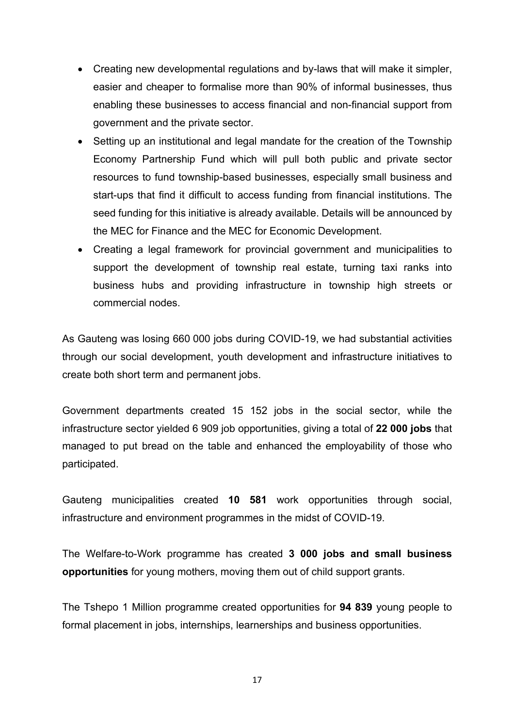- Creating new developmental regulations and by-laws that will make it simpler, easier and cheaper to formalise more than 90% of informal businesses, thus enabling these businesses to access financial and non-financial support from government and the private sector.
- Setting up an institutional and legal mandate for the creation of the Township Economy Partnership Fund which will pull both public and private sector resources to fund township-based businesses, especially small business and start-ups that find it difficult to access funding from financial institutions. The seed funding for this initiative is already available. Details will be announced by the MEC for Finance and the MEC for Economic Development.
- Creating a legal framework for provincial government and municipalities to support the development of township real estate, turning taxi ranks into business hubs and providing infrastructure in township high streets or commercial nodes.

As Gauteng was losing 660 000 jobs during COVID-19, we had substantial activities through our social development, youth development and infrastructure initiatives to create both short term and permanent jobs.

Government departments created 15 152 jobs in the social sector, while the infrastructure sector yielded 6 909 job opportunities, giving a total of **22 000 jobs** that managed to put bread on the table and enhanced the employability of those who participated.

Gauteng municipalities created **10 581** work opportunities through social, infrastructure and environment programmes in the midst of COVID-19.

The Welfare-to-Work programme has created **3 000 jobs and small business opportunities** for young mothers, moving them out of child support grants.

The Tshepo 1 Million programme created opportunities for **94 839** young people to formal placement in jobs, internships, learnerships and business opportunities.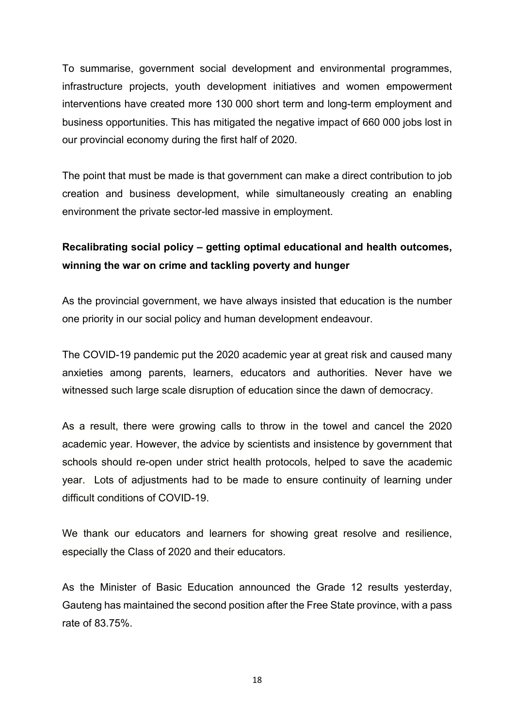To summarise, government social development and environmental programmes, infrastructure projects, youth development initiatives and women empowerment interventions have created more 130 000 short term and long-term employment and business opportunities. This has mitigated the negative impact of 660 000 jobs lost in our provincial economy during the first half of 2020.

The point that must be made is that government can make a direct contribution to job creation and business development, while simultaneously creating an enabling environment the private sector-led massive in employment.

# **Recalibrating social policy – getting optimal educational and health outcomes, winning the war on crime and tackling poverty and hunger**

As the provincial government, we have always insisted that education is the number one priority in our social policy and human development endeavour.

The COVID-19 pandemic put the 2020 academic year at great risk and caused many anxieties among parents, learners, educators and authorities. Never have we witnessed such large scale disruption of education since the dawn of democracy.

As a result, there were growing calls to throw in the towel and cancel the 2020 academic year. However, the advice by scientists and insistence by government that schools should re-open under strict health protocols, helped to save the academic year. Lots of adjustments had to be made to ensure continuity of learning under difficult conditions of COVID-19.

We thank our educators and learners for showing great resolve and resilience, especially the Class of 2020 and their educators.

As the Minister of Basic Education announced the Grade 12 results yesterday, Gauteng has maintained the second position after the Free State province, with a pass rate of 83.75%.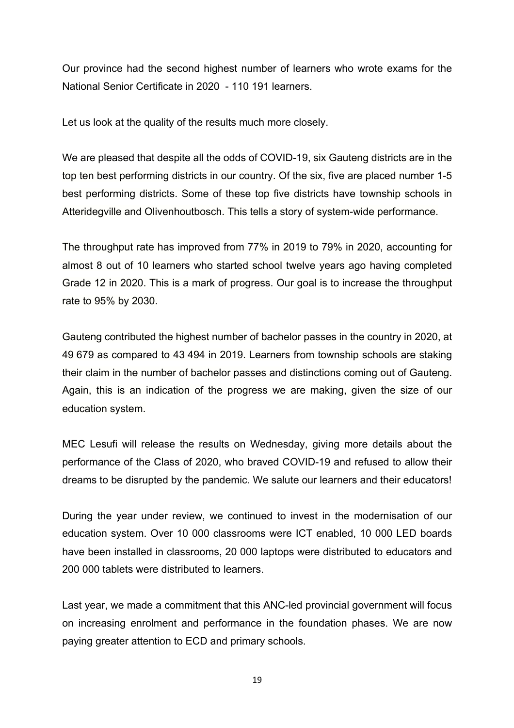Our province had the second highest number of learners who wrote exams for the National Senior Certificate in 2020 - 110 191 learners.

Let us look at the quality of the results much more closely.

We are pleased that despite all the odds of COVID-19, six Gauteng districts are in the top ten best performing districts in our country. Of the six, five are placed number 1-5 best performing districts. Some of these top five districts have township schools in Atteridegville and Olivenhoutbosch. This tells a story of system-wide performance.

The throughput rate has improved from 77% in 2019 to 79% in 2020, accounting for almost 8 out of 10 learners who started school twelve years ago having completed Grade 12 in 2020. This is a mark of progress. Our goal is to increase the throughput rate to 95% by 2030.

Gauteng contributed the highest number of bachelor passes in the country in 2020, at 49 679 as compared to 43 494 in 2019. Learners from township schools are staking their claim in the number of bachelor passes and distinctions coming out of Gauteng. Again, this is an indication of the progress we are making, given the size of our education system.

MEC Lesufi will release the results on Wednesday, giving more details about the performance of the Class of 2020, who braved COVID-19 and refused to allow their dreams to be disrupted by the pandemic. We salute our learners and their educators!

During the year under review, we continued to invest in the modernisation of our education system. Over 10 000 classrooms were ICT enabled, 10 000 LED boards have been installed in classrooms, 20 000 laptops were distributed to educators and 200 000 tablets were distributed to learners.

Last year, we made a commitment that this ANC-led provincial government will focus on increasing enrolment and performance in the foundation phases. We are now paying greater attention to ECD and primary schools.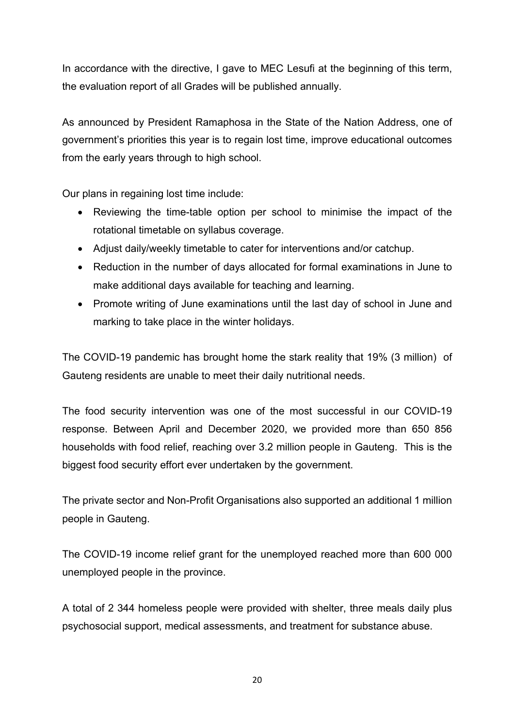In accordance with the directive, I gave to MEC Lesufi at the beginning of this term, the evaluation report of all Grades will be published annually.

As announced by President Ramaphosa in the State of the Nation Address, one of government's priorities this year is to regain lost time, improve educational outcomes from the early years through to high school.

Our plans in regaining lost time include:

- Reviewing the time-table option per school to minimise the impact of the rotational timetable on syllabus coverage.
- Adjust daily/weekly timetable to cater for interventions and/or catchup.
- Reduction in the number of days allocated for formal examinations in June to make additional days available for teaching and learning.
- Promote writing of June examinations until the last day of school in June and marking to take place in the winter holidays.

The COVID-19 pandemic has brought home the stark reality that 19% (3 million) of Gauteng residents are unable to meet their daily nutritional needs.

The food security intervention was one of the most successful in our COVID-19 response. Between April and December 2020, we provided more than 650 856 households with food relief, reaching over 3.2 million people in Gauteng. This is the biggest food security effort ever undertaken by the government.

The private sector and Non-Profit Organisations also supported an additional 1 million people in Gauteng.

The COVID-19 income relief grant for the unemployed reached more than 600 000 unemployed people in the province.

A total of 2 344 homeless people were provided with shelter, three meals daily plus psychosocial support, medical assessments, and treatment for substance abuse.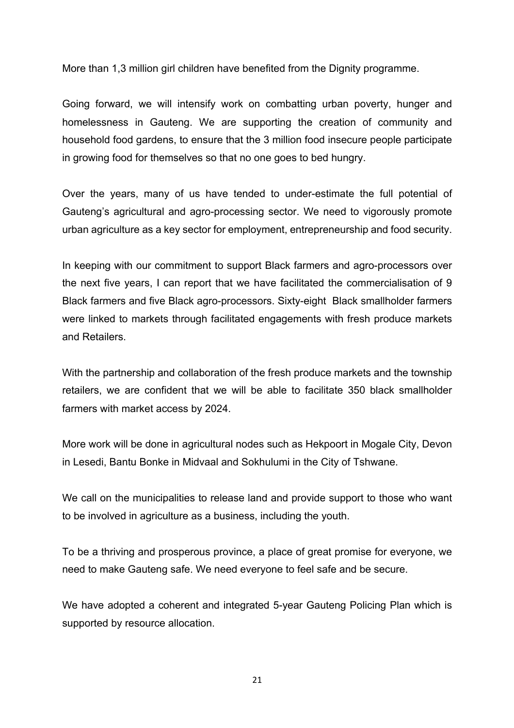More than 1,3 million girl children have benefited from the Dignity programme.

Going forward, we will intensify work on combatting urban poverty, hunger and homelessness in Gauteng. We are supporting the creation of community and household food gardens, to ensure that the 3 million food insecure people participate in growing food for themselves so that no one goes to bed hungry.

Over the years, many of us have tended to under-estimate the full potential of Gauteng's agricultural and agro-processing sector. We need to vigorously promote urban agriculture as a key sector for employment, entrepreneurship and food security.

In keeping with our commitment to support Black farmers and agro-processors over the next five years, I can report that we have facilitated the commercialisation of 9 Black farmers and five Black agro-processors. Sixty-eight Black smallholder farmers were linked to markets through facilitated engagements with fresh produce markets and Retailers.

With the partnership and collaboration of the fresh produce markets and the township retailers, we are confident that we will be able to facilitate 350 black smallholder farmers with market access by 2024.

More work will be done in agricultural nodes such as Hekpoort in Mogale City, Devon in Lesedi, Bantu Bonke in Midvaal and Sokhulumi in the City of Tshwane.

We call on the municipalities to release land and provide support to those who want to be involved in agriculture as a business, including the youth.

To be a thriving and prosperous province, a place of great promise for everyone, we need to make Gauteng safe. We need everyone to feel safe and be secure.

We have adopted a coherent and integrated 5-year Gauteng Policing Plan which is supported by resource allocation.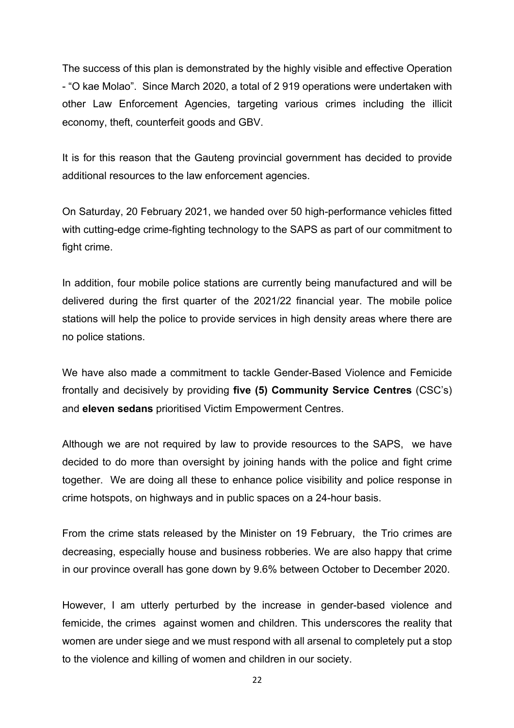The success of this plan is demonstrated by the highly visible and effective Operation - "O kae Molao". Since March 2020, a total of 2 919 operations were undertaken with other Law Enforcement Agencies, targeting various crimes including the illicit economy, theft, counterfeit goods and GBV.

It is for this reason that the Gauteng provincial government has decided to provide additional resources to the law enforcement agencies.

On Saturday, 20 February 2021, we handed over 50 high-performance vehicles fitted with cutting-edge crime-fighting technology to the SAPS as part of our commitment to fight crime.

In addition, four mobile police stations are currently being manufactured and will be delivered during the first quarter of the 2021/22 financial year. The mobile police stations will help the police to provide services in high density areas where there are no police stations.

We have also made a commitment to tackle Gender-Based Violence and Femicide frontally and decisively by providing **five (5) Community Service Centres** (CSC's) and **eleven sedans** prioritised Victim Empowerment Centres.

Although we are not required by law to provide resources to the SAPS, we have decided to do more than oversight by joining hands with the police and fight crime together. We are doing all these to enhance police visibility and police response in crime hotspots, on highways and in public spaces on a 24-hour basis.

From the crime stats released by the Minister on 19 February, the Trio crimes are decreasing, especially house and business robberies. We are also happy that crime in our province overall has gone down by 9.6% between October to December 2020.

However, I am utterly perturbed by the increase in gender-based violence and femicide, the crimes against women and children. This underscores the reality that women are under siege and we must respond with all arsenal to completely put a stop to the violence and killing of women and children in our society.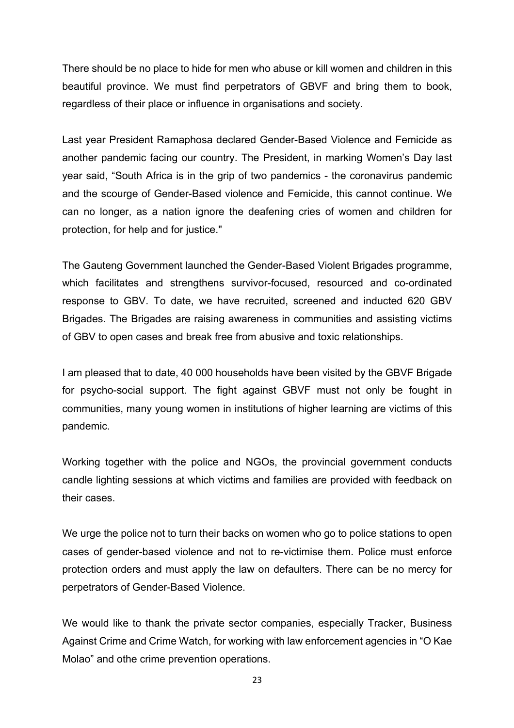There should be no place to hide for men who abuse or kill women and children in this beautiful province. We must find perpetrators of GBVF and bring them to book, regardless of their place or influence in organisations and society.

Last year President Ramaphosa declared Gender-Based Violence and Femicide as another pandemic facing our country. The President, in marking Women's Day last year said, "South Africa is in the grip of two pandemics - the coronavirus pandemic and the scourge of Gender-Based violence and Femicide, this cannot continue. We can no longer, as a nation ignore the deafening cries of women and children for protection, for help and for justice."

The Gauteng Government launched the Gender-Based Violent Brigades programme, which facilitates and strengthens survivor-focused, resourced and co-ordinated response to GBV. To date, we have recruited, screened and inducted 620 GBV Brigades. The Brigades are raising awareness in communities and assisting victims of GBV to open cases and break free from abusive and toxic relationships.

I am pleased that to date, 40 000 households have been visited by the GBVF Brigade for psycho-social support. The fight against GBVF must not only be fought in communities, many young women in institutions of higher learning are victims of this pandemic.

Working together with the police and NGOs, the provincial government conducts candle lighting sessions at which victims and families are provided with feedback on their cases.

We urge the police not to turn their backs on women who go to police stations to open cases of gender-based violence and not to re-victimise them. Police must enforce protection orders and must apply the law on defaulters. There can be no mercy for perpetrators of Gender-Based Violence.

We would like to thank the private sector companies, especially Tracker, Business Against Crime and Crime Watch, for working with law enforcement agencies in "O Kae Molao" and othe crime prevention operations.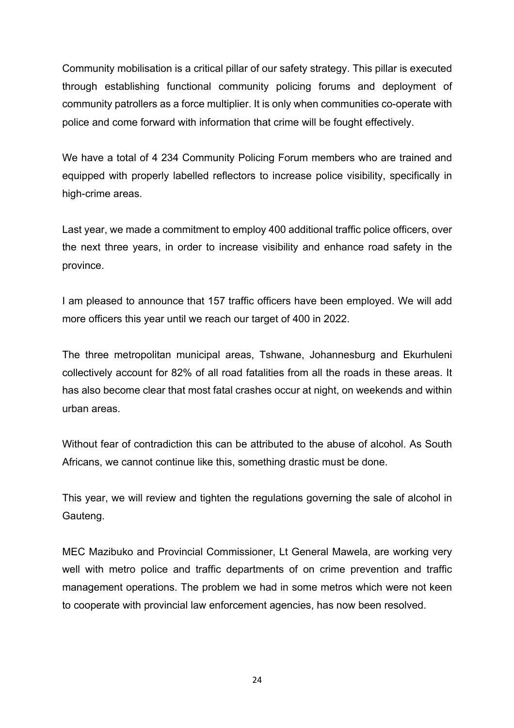Community mobilisation is a critical pillar of our safety strategy. This pillar is executed through establishing functional community policing forums and deployment of community patrollers as a force multiplier. It is only when communities co-operate with police and come forward with information that crime will be fought effectively.

We have a total of 4 234 Community Policing Forum members who are trained and equipped with properly labelled reflectors to increase police visibility, specifically in high-crime areas.

Last year, we made a commitment to employ 400 additional traffic police officers, over the next three years, in order to increase visibility and enhance road safety in the province.

I am pleased to announce that 157 traffic officers have been employed. We will add more officers this year until we reach our target of 400 in 2022.

The three metropolitan municipal areas, Tshwane, Johannesburg and Ekurhuleni collectively account for 82% of all road fatalities from all the roads in these areas. It has also become clear that most fatal crashes occur at night, on weekends and within urban areas.

Without fear of contradiction this can be attributed to the abuse of alcohol. As South Africans, we cannot continue like this, something drastic must be done.

This year, we will review and tighten the regulations governing the sale of alcohol in Gauteng.

MEC Mazibuko and Provincial Commissioner, Lt General Mawela, are working very well with metro police and traffic departments of on crime prevention and traffic management operations. The problem we had in some metros which were not keen to cooperate with provincial law enforcement agencies, has now been resolved.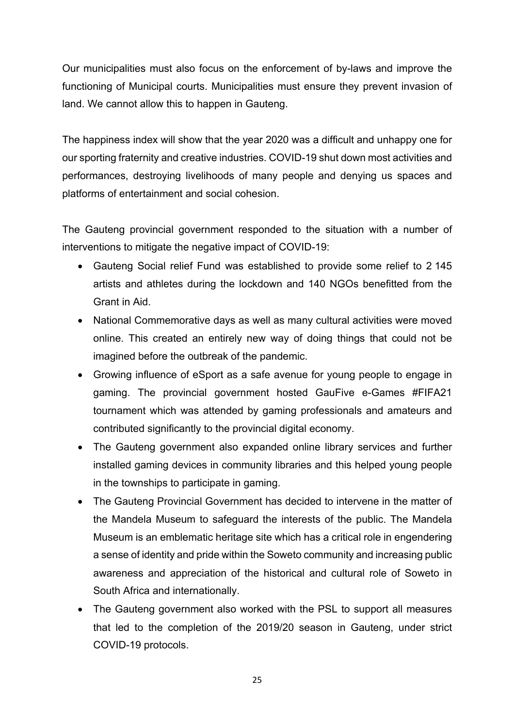Our municipalities must also focus on the enforcement of by-laws and improve the functioning of Municipal courts. Municipalities must ensure they prevent invasion of land. We cannot allow this to happen in Gauteng.

The happiness index will show that the year 2020 was a difficult and unhappy one for our sporting fraternity and creative industries. COVID-19 shut down most activities and performances, destroying livelihoods of many people and denying us spaces and platforms of entertainment and social cohesion.

The Gauteng provincial government responded to the situation with a number of interventions to mitigate the negative impact of COVID-19:

- Gauteng Social relief Fund was established to provide some relief to 2 145 artists and athletes during the lockdown and 140 NGOs benefitted from the Grant in Aid.
- National Commemorative days as well as many cultural activities were moved online. This created an entirely new way of doing things that could not be imagined before the outbreak of the pandemic.
- Growing influence of eSport as a safe avenue for young people to engage in gaming. The provincial government hosted GauFive e-Games #FIFA21 tournament which was attended by gaming professionals and amateurs and contributed significantly to the provincial digital economy.
- The Gauteng government also expanded online library services and further installed gaming devices in community libraries and this helped young people in the townships to participate in gaming.
- The Gauteng Provincial Government has decided to intervene in the matter of the Mandela Museum to safeguard the interests of the public. The Mandela Museum is an emblematic heritage site which has a critical role in engendering a sense of identity and pride within the Soweto community and increasing public awareness and appreciation of the historical and cultural role of Soweto in South Africa and internationally.
- The Gauteng government also worked with the PSL to support all measures that led to the completion of the 2019/20 season in Gauteng, under strict COVID-19 protocols.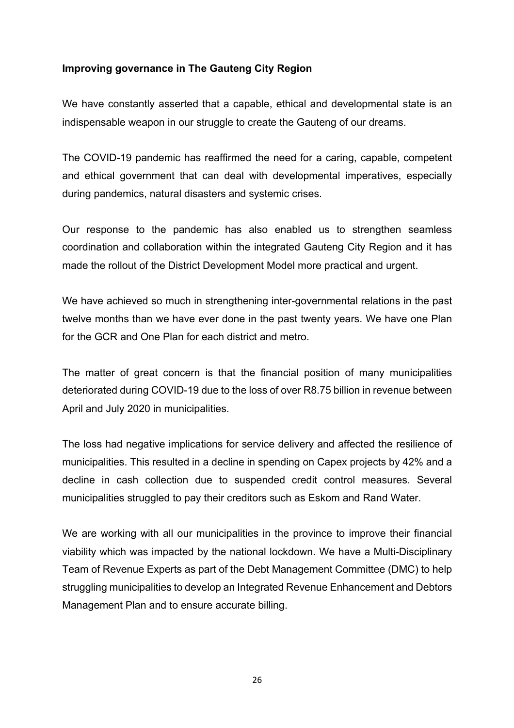### **Improving governance in The Gauteng City Region**

We have constantly asserted that a capable, ethical and developmental state is an indispensable weapon in our struggle to create the Gauteng of our dreams.

The COVID-19 pandemic has reaffirmed the need for a caring, capable, competent and ethical government that can deal with developmental imperatives, especially during pandemics, natural disasters and systemic crises.

Our response to the pandemic has also enabled us to strengthen seamless coordination and collaboration within the integrated Gauteng City Region and it has made the rollout of the District Development Model more practical and urgent.

We have achieved so much in strengthening inter-governmental relations in the past twelve months than we have ever done in the past twenty years. We have one Plan for the GCR and One Plan for each district and metro.

The matter of great concern is that the financial position of many municipalities deteriorated during COVID-19 due to the loss of over R8.75 billion in revenue between April and July 2020 in municipalities.

The loss had negative implications for service delivery and affected the resilience of municipalities. This resulted in a decline in spending on Capex projects by 42% and a decline in cash collection due to suspended credit control measures. Several municipalities struggled to pay their creditors such as Eskom and Rand Water.

We are working with all our municipalities in the province to improve their financial viability which was impacted by the national lockdown. We have a Multi-Disciplinary Team of Revenue Experts as part of the Debt Management Committee (DMC) to help struggling municipalities to develop an Integrated Revenue Enhancement and Debtors Management Plan and to ensure accurate billing.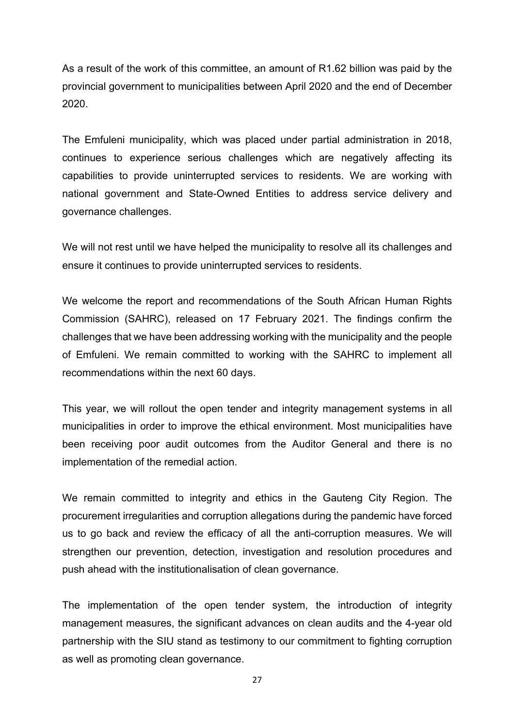As a result of the work of this committee, an amount of R1.62 billion was paid by the provincial government to municipalities between April 2020 and the end of December 2020.

The Emfuleni municipality, which was placed under partial administration in 2018, continues to experience serious challenges which are negatively affecting its capabilities to provide uninterrupted services to residents. We are working with national government and State-Owned Entities to address service delivery and governance challenges.

We will not rest until we have helped the municipality to resolve all its challenges and ensure it continues to provide uninterrupted services to residents.

We welcome the report and recommendations of the South African Human Rights Commission (SAHRC), released on 17 February 2021. The findings confirm the challenges that we have been addressing working with the municipality and the people of Emfuleni. We remain committed to working with the SAHRC to implement all recommendations within the next 60 days.

This year, we will rollout the open tender and integrity management systems in all municipalities in order to improve the ethical environment. Most municipalities have been receiving poor audit outcomes from the Auditor General and there is no implementation of the remedial action.

We remain committed to integrity and ethics in the Gauteng City Region. The procurement irregularities and corruption allegations during the pandemic have forced us to go back and review the efficacy of all the anti-corruption measures. We will strengthen our prevention, detection, investigation and resolution procedures and push ahead with the institutionalisation of clean governance.

The implementation of the open tender system, the introduction of integrity management measures, the significant advances on clean audits and the 4-year old partnership with the SIU stand as testimony to our commitment to fighting corruption as well as promoting clean governance.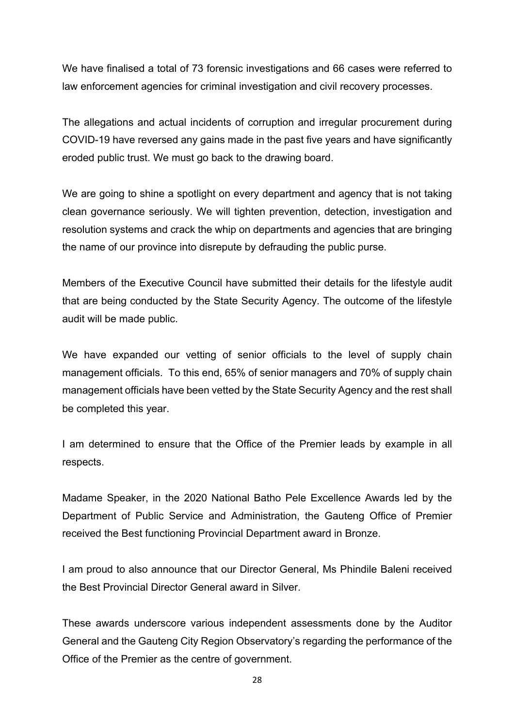We have finalised a total of 73 forensic investigations and 66 cases were referred to law enforcement agencies for criminal investigation and civil recovery processes.

The allegations and actual incidents of corruption and irregular procurement during COVID-19 have reversed any gains made in the past five years and have significantly eroded public trust. We must go back to the drawing board.

We are going to shine a spotlight on every department and agency that is not taking clean governance seriously. We will tighten prevention, detection, investigation and resolution systems and crack the whip on departments and agencies that are bringing the name of our province into disrepute by defrauding the public purse.

Members of the Executive Council have submitted their details for the lifestyle audit that are being conducted by the State Security Agency. The outcome of the lifestyle audit will be made public.

We have expanded our vetting of senior officials to the level of supply chain management officials. To this end, 65% of senior managers and 70% of supply chain management officials have been vetted by the State Security Agency and the rest shall be completed this year.

I am determined to ensure that the Office of the Premier leads by example in all respects.

Madame Speaker, in the 2020 National Batho Pele Excellence Awards led by the Department of Public Service and Administration, the Gauteng Office of Premier received the Best functioning Provincial Department award in Bronze.

I am proud to also announce that our Director General, Ms Phindile Baleni received the Best Provincial Director General award in Silver.

These awards underscore various independent assessments done by the Auditor General and the Gauteng City Region Observatory's regarding the performance of the Office of the Premier as the centre of government.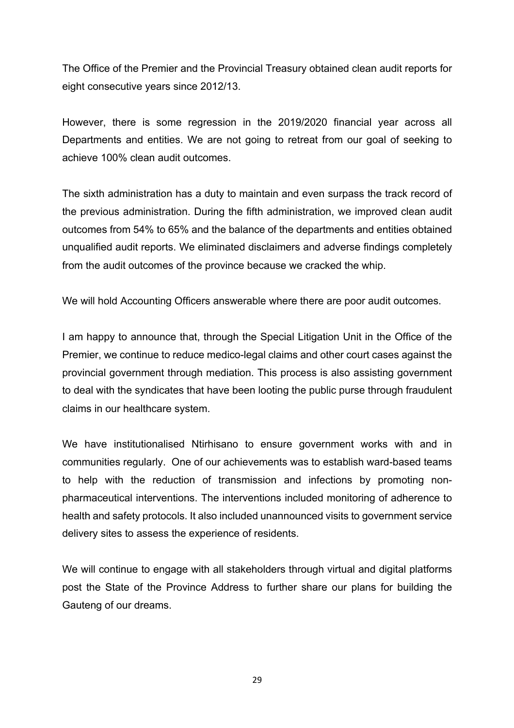The Office of the Premier and the Provincial Treasury obtained clean audit reports for eight consecutive years since 2012/13.

However, there is some regression in the 2019/2020 financial year across all Departments and entities. We are not going to retreat from our goal of seeking to achieve 100% clean audit outcomes.

The sixth administration has a duty to maintain and even surpass the track record of the previous administration. During the fifth administration, we improved clean audit outcomes from 54% to 65% and the balance of the departments and entities obtained unqualified audit reports. We eliminated disclaimers and adverse findings completely from the audit outcomes of the province because we cracked the whip.

We will hold Accounting Officers answerable where there are poor audit outcomes.

I am happy to announce that, through the Special Litigation Unit in the Office of the Premier, we continue to reduce medico-legal claims and other court cases against the provincial government through mediation. This process is also assisting government to deal with the syndicates that have been looting the public purse through fraudulent claims in our healthcare system.

We have institutionalised Ntirhisano to ensure government works with and in communities regularly. One of our achievements was to establish ward-based teams to help with the reduction of transmission and infections by promoting nonpharmaceutical interventions. The interventions included monitoring of adherence to health and safety protocols. It also included unannounced visits to government service delivery sites to assess the experience of residents.

We will continue to engage with all stakeholders through virtual and digital platforms post the State of the Province Address to further share our plans for building the Gauteng of our dreams.